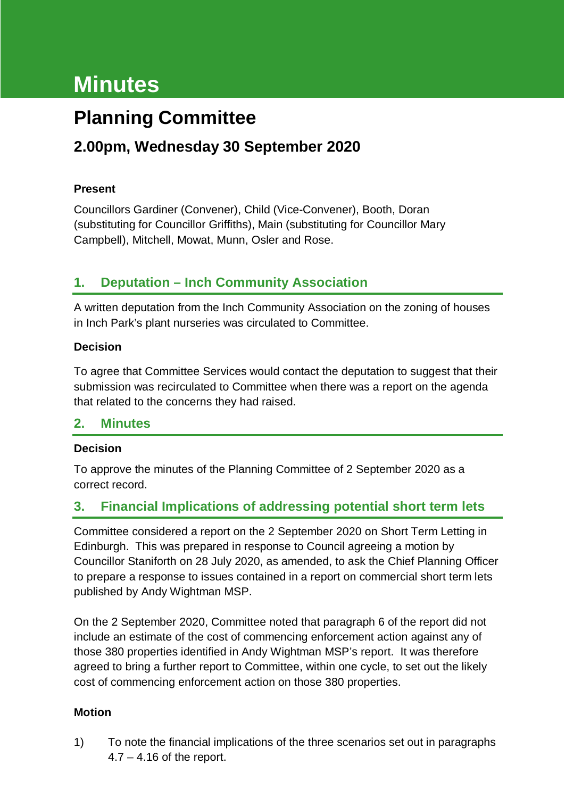# **Minutes**

# **Planning Committee**

## **2.00pm, Wednesday 30 September 2020**

#### **Present**

Councillors Gardiner (Convener), Child (Vice-Convener), Booth, Doran (substituting for Councillor Griffiths), Main (substituting for Councillor Mary Campbell), Mitchell, Mowat, Munn, Osler and Rose.

### **1. Deputation – Inch Community Association**

A written deputation from the Inch Community Association on the zoning of houses in Inch Park's plant nurseries was circulated to Committee.

#### **Decision**

To agree that Committee Services would contact the deputation to suggest that their submission was recirculated to Committee when there was a report on the agenda that related to the concerns they had raised.

#### **2. Minutes**

#### **Decision**

To approve the minutes of the Planning Committee of 2 September 2020 as a correct record.

### **3. Financial Implications of addressing potential short term lets**

Committee considered a report on the 2 September 2020 on Short Term Letting in Edinburgh. This was prepared in response to Council agreeing a motion by Councillor Staniforth on 28 July 2020, as amended, to ask the Chief Planning Officer to prepare a response to issues contained in a report on commercial short term lets published by Andy Wightman MSP.

On the 2 September 2020, Committee noted that paragraph 6 of the report did not include an estimate of the cost of commencing enforcement action against any of those 380 properties identified in Andy Wightman MSP's report. It was therefore agreed to bring a further report to Committee, within one cycle, to set out the likely cost of commencing enforcement action on those 380 properties.

#### **Motion**

1) To note the financial implications of the three scenarios set out in paragraphs 4.7 – 4.16 of the report.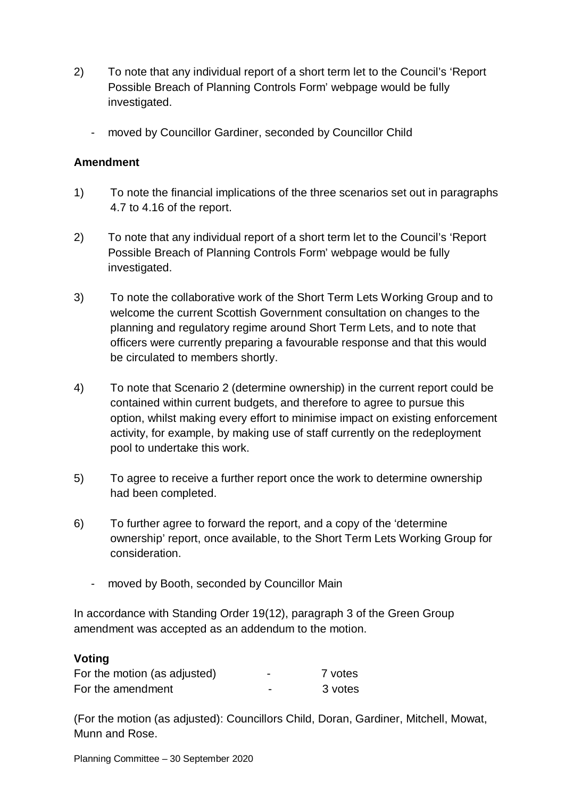- 2) To note that any individual report of a short term let to the Council's 'Report Possible Breach of Planning Controls Form' webpage would be fully investigated.
	- moved by Councillor Gardiner, seconded by Councillor Child

#### **Amendment**

- 1) To note the financial implications of the three scenarios set out in paragraphs 4.7 to 4.16 of the report.
- 2) To note that any individual report of a short term let to the Council's 'Report Possible Breach of Planning Controls Form' webpage would be fully investigated.
- 3) To note the collaborative work of the Short Term Lets Working Group and to welcome the current Scottish Government consultation on changes to the planning and regulatory regime around Short Term Lets, and to note that officers were currently preparing a favourable response and that this would be circulated to members shortly.
- 4) To note that Scenario 2 (determine ownership) in the current report could be contained within current budgets, and therefore to agree to pursue this option, whilst making every effort to minimise impact on existing enforcement activity, for example, by making use of staff currently on the redeployment pool to undertake this work.
- 5) To agree to receive a further report once the work to determine ownership had been completed.
- 6) To further agree to forward the report, and a copy of the 'determine ownership' report, once available, to the Short Term Lets Working Group for consideration.
	- moved by Booth, seconded by Councillor Main

In accordance with Standing Order 19(12), paragraph 3 of the Green Group amendment was accepted as an addendum to the motion.

#### **Voting**

| For the motion (as adjusted) | - | 7 votes |
|------------------------------|---|---------|
| For the amendment            | - | 3 votes |

(For the motion (as adjusted): Councillors Child, Doran, Gardiner, Mitchell, Mowat, Munn and Rose.